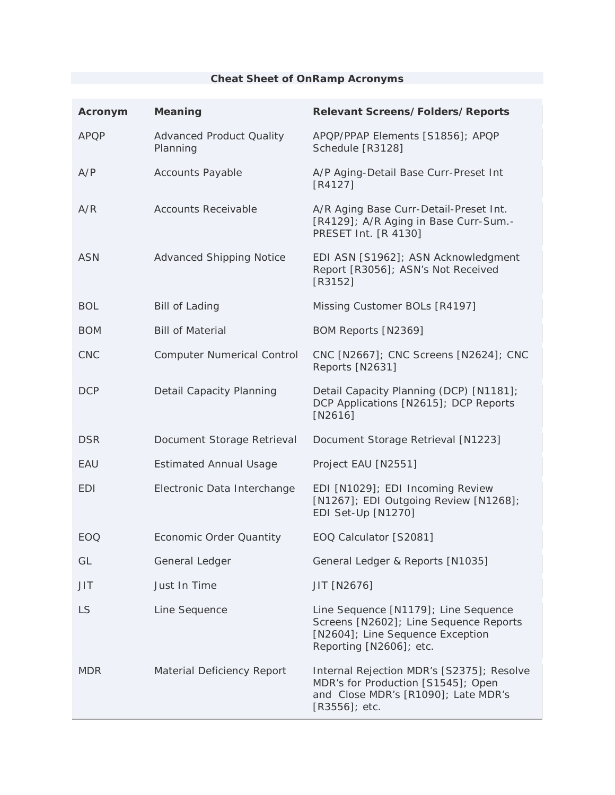## **Cheat Sheet of OnRamp Acronyms**

| Acronym     | <b>Meaning</b>                              | <b>Relevant Screens/Folders/Reports</b>                                                                                                       |
|-------------|---------------------------------------------|-----------------------------------------------------------------------------------------------------------------------------------------------|
| <b>APQP</b> | <b>Advanced Product Quality</b><br>Planning | APQP/PPAP Elements [S1856]; APQP<br>Schedule [R3128]                                                                                          |
| A/P         | <b>Accounts Payable</b>                     | A/P Aging-Detail Base Curr-Preset Int<br>$[R4127]$                                                                                            |
| A/R         | <b>Accounts Receivable</b>                  | A/R Aging Base Curr-Detail-Preset Int.<br>[R4129]; A/R Aging in Base Curr-Sum.-<br>PRESET Int. [R 4130]                                       |
| <b>ASN</b>  | <b>Advanced Shipping Notice</b>             | EDI ASN [S1962]; ASN Acknowledgment<br>Report [R3056]; ASN's Not Received<br>$[R3152]$                                                        |
| <b>BOL</b>  | <b>Bill of Lading</b>                       | Missing Customer BOLs [R4197]                                                                                                                 |
| <b>BOM</b>  | <b>Bill of Material</b>                     | BOM Reports [N2369]                                                                                                                           |
| <b>CNC</b>  | <b>Computer Numerical Control</b>           | CNC [N2667]; CNC Screens [N2624]; CNC<br>Reports [N2631]                                                                                      |
| <b>DCP</b>  | Detail Capacity Planning                    | Detail Capacity Planning (DCP) [N1181];<br>DCP Applications [N2615]; DCP Reports<br>$[N2616]$                                                 |
| <b>DSR</b>  | Document Storage Retrieval                  | Document Storage Retrieval [N1223]                                                                                                            |
| EAU         | <b>Estimated Annual Usage</b>               | Project EAU [N2551]                                                                                                                           |
| <b>EDI</b>  | Electronic Data Interchange                 | EDI [N1029]; EDI Incoming Review<br>[N1267]; EDI Outgoing Review [N1268];<br>EDI Set-Up [N1270]                                               |
| EOQ         | <b>Economic Order Quantity</b>              | EOQ Calculator [S2081]                                                                                                                        |
| GL          | General Ledger                              | General Ledger & Reports [N1035]                                                                                                              |
| JIT         | Just In Time                                | JIT [N2676]                                                                                                                                   |
| <b>LS</b>   | Line Sequence                               | Line Sequence [N1179]; Line Sequence<br>Screens [N2602]; Line Sequence Reports<br>[N2604]; Line Sequence Exception<br>Reporting [N2606]; etc. |
| <b>MDR</b>  | Material Deficiency Report                  | Internal Rejection MDR's [S2375]; Resolve<br>MDR's for Production [S1545]; Open<br>and Close MDR's [R1090]; Late MDR's<br>$[$ 83556]; etc.    |